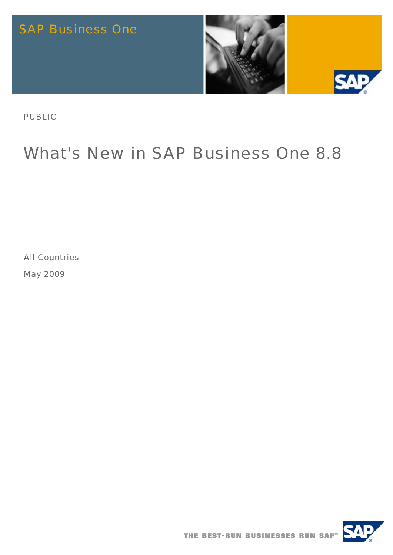

PUBLIC

# What's New in SAP Business One 8.8

All Countries

May 2009

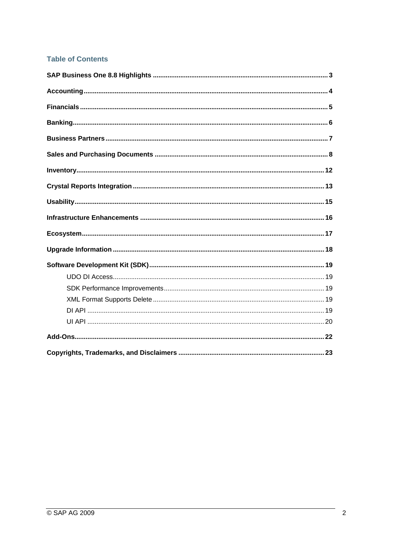#### **Table of Contents**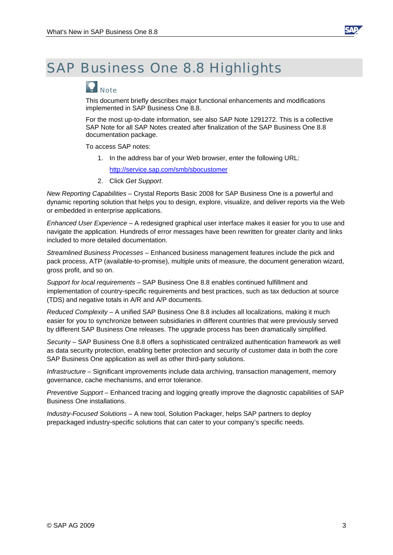

#### <span id="page-2-0"></span>SAP Business One 8.8 Highlights

### $\Omega_{\text{Note}}$

This document briefly describes major functional enhancements and modifications implemented in SAP Business One 8.8.

For the most up-to-date information, see also SAP Note 1291272. This is a collective SAP Note for all SAP Notes created after finalization of the SAP Business One 8.8 documentation package.

To access SAP notes:

1. In the address bar of your Web browser, enter the following URL:

[http://service.sap.com/smb/sbocustomer](https://service.sap.com/smb/sbocustomer)

2. Click *Get Support*.

*New Reporting Capabilities* – Crystal Reports Basic 2008 for SAP Business One is a powerful and dynamic reporting solution that helps you to design, explore, visualize, and deliver reports via the Web or embedded in enterprise applications.

*Enhanced User Experience* – A redesigned graphical user interface makes it easier for you to use and navigate the application. Hundreds of error messages have been rewritten for greater clarity and links included to more detailed documentation.

*Streamlined Business Processes* – Enhanced business management features include the pick and pack process, ATP (available-to-promise), multiple units of measure, the document generation wizard, gross profit, and so on.

*Support for local requirements* – SAP Business One 8.8 enables continued fulfillment and implementation of country-specific requirements and best practices, such as tax deduction at source (TDS) and negative totals in A/R and A/P documents.

*Reduced Complexity* – A unified SAP Business One 8.8 includes all localizations, making it much easier for you to synchronize between subsidiaries in different countries that were previously served by different SAP Business One releases. The upgrade process has been dramatically simplified.

*Security* – SAP Business One 8.8 offers a sophisticated centralized authentication framework as well as data security protection, enabling better protection and security of customer data in both the core SAP Business One application as well as other third-party solutions.

*Infrastructure* – Significant improvements include data archiving, transaction management, memory governance, cache mechanisms, and error tolerance.

*Preventive Support* – Enhanced tracing and logging greatly improve the diagnostic capabilities of SAP Business One installations.

*Industry-Focused Solutions* – A new tool, Solution Packager, helps SAP partners to deploy prepackaged industry-specific solutions that can cater to your company's specific needs.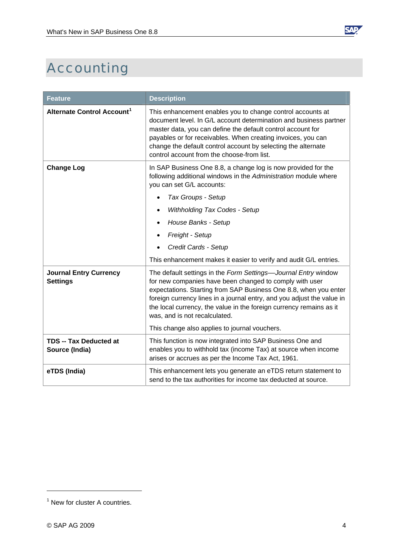<span id="page-3-0"></span>

| <b>Feature</b>                                   | <b>Description</b>                                                                                                                                                                                                                                                                                                                                                                                                               |
|--------------------------------------------------|----------------------------------------------------------------------------------------------------------------------------------------------------------------------------------------------------------------------------------------------------------------------------------------------------------------------------------------------------------------------------------------------------------------------------------|
| Alternate Control Account <sup>1</sup>           | This enhancement enables you to change control accounts at<br>document level. In G/L account determination and business partner<br>master data, you can define the default control account for<br>payables or for receivables. When creating invoices, you can<br>change the default control account by selecting the alternate<br>control account from the choose-from list.                                                    |
| <b>Change Log</b>                                | In SAP Business One 8.8, a change log is now provided for the<br>following additional windows in the Administration module where<br>you can set G/L accounts:<br>Tax Groups - Setup<br>$\bullet$<br><b>Withholding Tax Codes - Setup</b><br>House Banks - Setup<br>Freight - Setup<br>Credit Cards - Setup<br>This enhancement makes it easier to verify and audit G/L entries.                                                  |
| <b>Journal Entry Currency</b><br><b>Settings</b> | The default settings in the Form Settings-Journal Entry window<br>for new companies have been changed to comply with user<br>expectations. Starting from SAP Business One 8.8, when you enter<br>foreign currency lines in a journal entry, and you adjust the value in<br>the local currency, the value in the foreign currency remains as it<br>was, and is not recalculated.<br>This change also applies to journal vouchers. |
| <b>TDS -- Tax Deducted at</b><br>Source (India)  | This function is now integrated into SAP Business One and<br>enables you to withhold tax (income Tax) at source when income<br>arises or accrues as per the Income Tax Act, 1961.                                                                                                                                                                                                                                                |
| eTDS (India)                                     | This enhancement lets you generate an eTDS return statement to<br>send to the tax authorities for income tax deducted at source.                                                                                                                                                                                                                                                                                                 |

**SAP** 

<span id="page-3-1"></span> $<sup>1</sup>$  New for cluster A countries.</sup>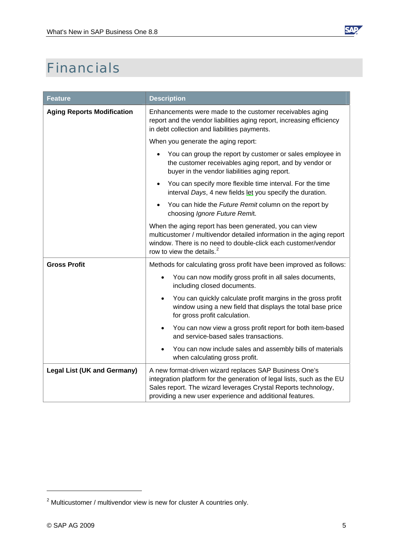

## <span id="page-4-0"></span>Financials

| <b>Feature</b>                     | <b>Description</b>                                                                                                                                                                                                                                             |
|------------------------------------|----------------------------------------------------------------------------------------------------------------------------------------------------------------------------------------------------------------------------------------------------------------|
| <b>Aging Reports Modification</b>  | Enhancements were made to the customer receivables aging<br>report and the vendor liabilities aging report, increasing efficiency<br>in debt collection and liabilities payments.                                                                              |
|                                    | When you generate the aging report:                                                                                                                                                                                                                            |
|                                    | You can group the report by customer or sales employee in<br>the customer receivables aging report, and by vendor or<br>buyer in the vendor liabilities aging report.                                                                                          |
|                                    | You can specify more flexible time interval. For the time<br>interval Days, 4 new fields let you specify the duration.                                                                                                                                         |
|                                    | You can hide the Future Remit column on the report by<br>choosing Ignore Future Remit.                                                                                                                                                                         |
|                                    | When the aging report has been generated, you can view<br>multicustomer / multivendor detailed information in the aging report<br>window. There is no need to double-click each customer/vendor<br>row to view the details. <sup>2</sup>                       |
| <b>Gross Profit</b>                | Methods for calculating gross profit have been improved as follows:                                                                                                                                                                                            |
|                                    | You can now modify gross profit in all sales documents,<br>including closed documents.                                                                                                                                                                         |
|                                    | You can quickly calculate profit margins in the gross profit<br>$\bullet$<br>window using a new field that displays the total base price<br>for gross profit calculation.                                                                                      |
|                                    | You can now view a gross profit report for both item-based<br>and service-based sales transactions.                                                                                                                                                            |
|                                    | You can now include sales and assembly bills of materials<br>when calculating gross profit.                                                                                                                                                                    |
| <b>Legal List (UK and Germany)</b> | A new format-driven wizard replaces SAP Business One's<br>integration platform for the generation of legal lists, such as the EU<br>Sales report. The wizard leverages Crystal Reports technology,<br>providing a new user experience and additional features. |

<span id="page-4-1"></span> $2$  Multicustomer / multivendor view is new for cluster A countries only.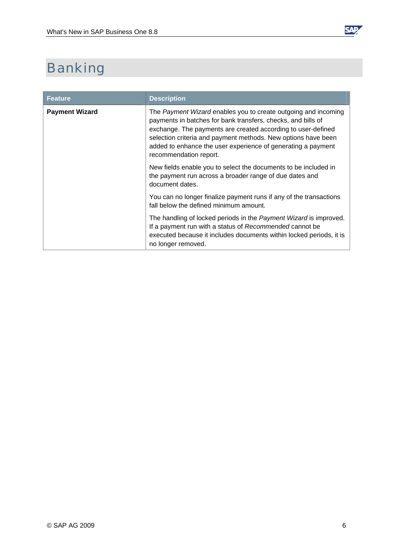

### <span id="page-5-0"></span>Banking

| <b>Feature</b>        | <b>Description</b>                                                                                                                                                                                                                                                                                                                                        |
|-----------------------|-----------------------------------------------------------------------------------------------------------------------------------------------------------------------------------------------------------------------------------------------------------------------------------------------------------------------------------------------------------|
| <b>Payment Wizard</b> | The Payment Wizard enables you to create outgoing and incoming<br>payments in batches for bank transfers, checks, and bills of<br>exchange. The payments are created according to user-defined<br>selection criteria and payment methods. New options have been<br>added to enhance the user experience of generating a payment<br>recommendation report. |
|                       | New fields enable you to select the documents to be included in<br>the payment run across a broader range of due dates and<br>document dates.                                                                                                                                                                                                             |
|                       | You can no longer finalize payment runs if any of the transactions<br>fall below the defined minimum amount.                                                                                                                                                                                                                                              |
|                       | The handling of locked periods in the Payment Wizard is improved.<br>If a payment run with a status of Recommended cannot be<br>executed because it includes documents within locked periods, it is<br>no longer removed.                                                                                                                                 |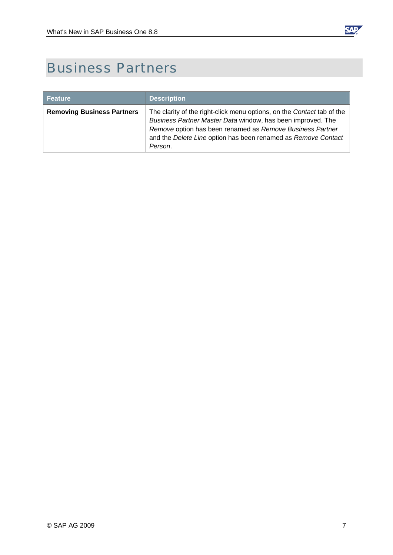

### <span id="page-6-0"></span>Business Partners

| <b>Feature</b>                    | <b>Description</b>                                                                                                                                                                                                                                                             |
|-----------------------------------|--------------------------------------------------------------------------------------------------------------------------------------------------------------------------------------------------------------------------------------------------------------------------------|
| <b>Removing Business Partners</b> | The clarity of the right-click menu options, on the Contact tab of the<br>Business Partner Master Data window, has been improved. The<br>Remove option has been renamed as Remove Business Partner<br>and the Delete Line option has been renamed as Remove Contact<br>Person. |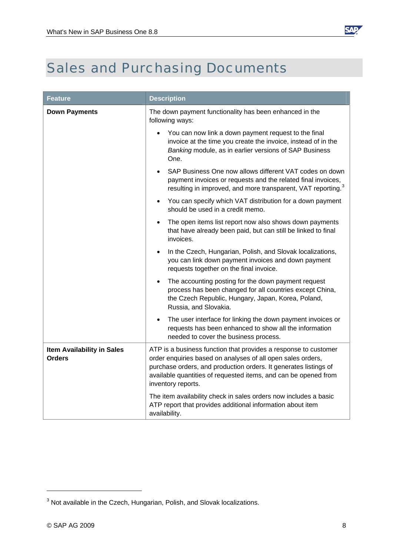

## <span id="page-7-0"></span>Sales and Purchasing Documents

| <b>Feature</b>                                     | <b>Description</b>                                                                                                                                                                                                                                                                          |
|----------------------------------------------------|---------------------------------------------------------------------------------------------------------------------------------------------------------------------------------------------------------------------------------------------------------------------------------------------|
| <b>Down Payments</b>                               | The down payment functionality has been enhanced in the<br>following ways:                                                                                                                                                                                                                  |
|                                                    | You can now link a down payment request to the final<br>invoice at the time you create the invoice, instead of in the<br>Banking module, as in earlier versions of SAP Business<br>One.                                                                                                     |
|                                                    | SAP Business One now allows different VAT codes on down<br>payment invoices or requests and the related final invoices,<br>resulting in improved, and more transparent, VAT reporting. <sup>3</sup>                                                                                         |
|                                                    | You can specify which VAT distribution for a down payment<br>should be used in a credit memo.                                                                                                                                                                                               |
|                                                    | The open items list report now also shows down payments<br>that have already been paid, but can still be linked to final<br>invoices.                                                                                                                                                       |
|                                                    | In the Czech, Hungarian, Polish, and Slovak localizations,<br>$\bullet$<br>you can link down payment invoices and down payment<br>requests together on the final invoice.                                                                                                                   |
|                                                    | The accounting posting for the down payment request<br>process has been changed for all countries except China,<br>the Czech Republic, Hungary, Japan, Korea, Poland,<br>Russia, and Slovakia.                                                                                              |
|                                                    | The user interface for linking the down payment invoices or<br>$\bullet$<br>requests has been enhanced to show all the information<br>needed to cover the business process.                                                                                                                 |
| <b>Item Availability in Sales</b><br><b>Orders</b> | ATP is a business function that provides a response to customer<br>order enquiries based on analyses of all open sales orders,<br>purchase orders, and production orders. It generates listings of<br>available quantities of requested items, and can be opened from<br>inventory reports. |
|                                                    | The item availability check in sales orders now includes a basic<br>ATP report that provides additional information about item<br>availability.                                                                                                                                             |

<span id="page-7-1"></span> $3$  Not available in the Czech, Hungarian, Polish, and Slovak localizations.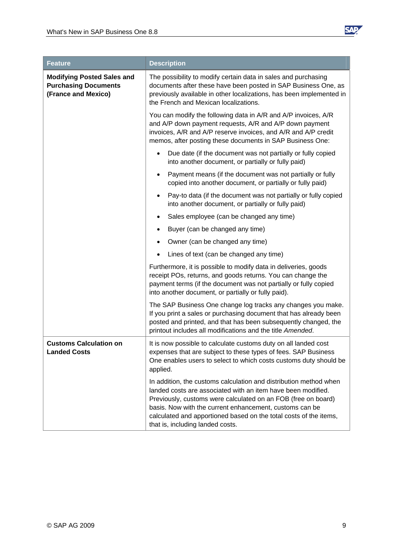

| <b>Feature</b>                                                                          | <b>Description</b>                                                                                                                                                                                                                                                                                                                                                     |
|-----------------------------------------------------------------------------------------|------------------------------------------------------------------------------------------------------------------------------------------------------------------------------------------------------------------------------------------------------------------------------------------------------------------------------------------------------------------------|
| <b>Modifying Posted Sales and</b><br><b>Purchasing Documents</b><br>(France and Mexico) | The possibility to modify certain data in sales and purchasing<br>documents after these have been posted in SAP Business One, as<br>previously available in other localizations, has been implemented in<br>the French and Mexican localizations.                                                                                                                      |
|                                                                                         | You can modify the following data in A/R and A/P invoices, A/R<br>and A/P down payment requests, A/R and A/P down payment<br>invoices, A/R and A/P reserve invoices, and A/R and A/P credit<br>memos, after posting these documents in SAP Business One:                                                                                                               |
|                                                                                         | Due date (if the document was not partially or fully copied<br>$\bullet$<br>into another document, or partially or fully paid)                                                                                                                                                                                                                                         |
|                                                                                         | Payment means (if the document was not partially or fully<br>copied into another document, or partially or fully paid)                                                                                                                                                                                                                                                 |
|                                                                                         | Pay-to data (if the document was not partially or fully copied<br>$\bullet$<br>into another document, or partially or fully paid)                                                                                                                                                                                                                                      |
|                                                                                         | Sales employee (can be changed any time)                                                                                                                                                                                                                                                                                                                               |
|                                                                                         | Buyer (can be changed any time)                                                                                                                                                                                                                                                                                                                                        |
|                                                                                         | Owner (can be changed any time)                                                                                                                                                                                                                                                                                                                                        |
|                                                                                         | Lines of text (can be changed any time)<br>٠                                                                                                                                                                                                                                                                                                                           |
|                                                                                         | Furthermore, it is possible to modify data in deliveries, goods<br>receipt POs, returns, and goods returns. You can change the<br>payment terms (if the document was not partially or fully copied<br>into another document, or partially or fully paid).                                                                                                              |
|                                                                                         | The SAP Business One change log tracks any changes you make.<br>If you print a sales or purchasing document that has already been<br>posted and printed, and that has been subsequently changed, the<br>printout includes all modifications and the title Amended.                                                                                                     |
| <b>Customs Calculation on</b><br><b>Landed Costs</b>                                    | It is now possible to calculate customs duty on all landed cost<br>expenses that are subject to these types of fees. SAP Business<br>One enables users to select to which costs customs duty should be<br>applied.                                                                                                                                                     |
|                                                                                         | In addition, the customs calculation and distribution method when<br>landed costs are associated with an item have been modified.<br>Previously, customs were calculated on an FOB (free on board)<br>basis. Now with the current enhancement, customs can be<br>calculated and apportioned based on the total costs of the items,<br>that is, including landed costs. |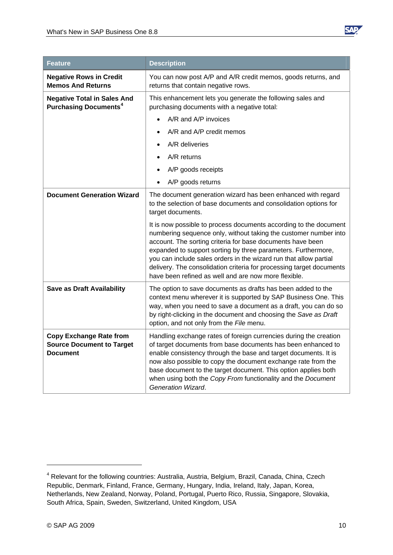

| Feature                                                                               | <b>Description</b>                                                                                                                                                                                                                                                                                                                                                                                                                                                        |
|---------------------------------------------------------------------------------------|---------------------------------------------------------------------------------------------------------------------------------------------------------------------------------------------------------------------------------------------------------------------------------------------------------------------------------------------------------------------------------------------------------------------------------------------------------------------------|
| <b>Negative Rows in Credit</b><br><b>Memos And Returns</b>                            | You can now post A/P and A/R credit memos, goods returns, and<br>returns that contain negative rows.                                                                                                                                                                                                                                                                                                                                                                      |
| <b>Negative Total in Sales And</b><br><b>Purchasing Documents<sup>4</sup></b>         | This enhancement lets you generate the following sales and<br>purchasing documents with a negative total:                                                                                                                                                                                                                                                                                                                                                                 |
|                                                                                       | A/R and A/P invoices                                                                                                                                                                                                                                                                                                                                                                                                                                                      |
|                                                                                       | A/R and A/P credit memos                                                                                                                                                                                                                                                                                                                                                                                                                                                  |
|                                                                                       | A/R deliveries                                                                                                                                                                                                                                                                                                                                                                                                                                                            |
|                                                                                       | A/R returns                                                                                                                                                                                                                                                                                                                                                                                                                                                               |
|                                                                                       | A/P goods receipts                                                                                                                                                                                                                                                                                                                                                                                                                                                        |
|                                                                                       | A/P goods returns                                                                                                                                                                                                                                                                                                                                                                                                                                                         |
| <b>Document Generation Wizard</b>                                                     | The document generation wizard has been enhanced with regard<br>to the selection of base documents and consolidation options for<br>target documents.                                                                                                                                                                                                                                                                                                                     |
|                                                                                       | It is now possible to process documents according to the document<br>numbering sequence only, without taking the customer number into<br>account. The sorting criteria for base documents have been<br>expanded to support sorting by three parameters. Furthermore,<br>you can include sales orders in the wizard run that allow partial<br>delivery. The consolidation criteria for processing target documents<br>have been refined as well and are now more flexible. |
| <b>Save as Draft Availability</b>                                                     | The option to save documents as drafts has been added to the<br>context menu wherever it is supported by SAP Business One. This<br>way, when you need to save a document as a draft, you can do so<br>by right-clicking in the document and choosing the Save as Draft<br>option, and not only from the File menu.                                                                                                                                                        |
| <b>Copy Exchange Rate from</b><br><b>Source Document to Target</b><br><b>Document</b> | Handling exchange rates of foreign currencies during the creation<br>of target documents from base documents has been enhanced to<br>enable consistency through the base and target documents. It is<br>now also possible to copy the document exchange rate from the<br>base document to the target document. This option applies both<br>when using both the Copy From functionality and the Document<br>Generation Wizard.                                             |

<span id="page-9-0"></span><sup>&</sup>lt;sup>4</sup> Relevant for the following countries: Australia, Austria, Belgium, Brazil, Canada, China, Czech Republic, Denmark, Finland, France, Germany, Hungary, India, Ireland, Italy, Japan, Korea, Netherlands, New Zealand, Norway, Poland, Portugal, Puerto Rico, Russia, Singapore, Slovakia, South Africa, Spain, Sweden, Switzerland, United Kingdom, USA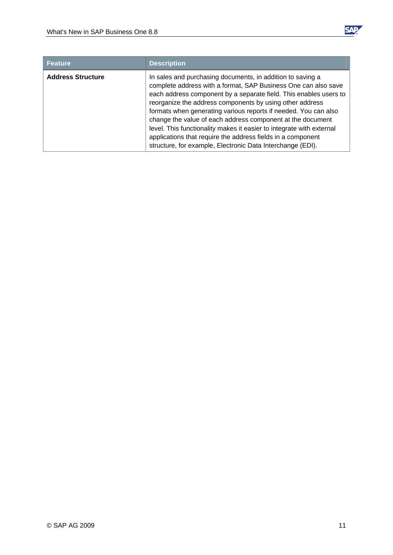

| <b>Feature</b>           | <b>Description</b>                                                                                                                                                                                                                                                                                                                                                                                                                                                                                                                                                                                  |
|--------------------------|-----------------------------------------------------------------------------------------------------------------------------------------------------------------------------------------------------------------------------------------------------------------------------------------------------------------------------------------------------------------------------------------------------------------------------------------------------------------------------------------------------------------------------------------------------------------------------------------------------|
| <b>Address Structure</b> | In sales and purchasing documents, in addition to saving a<br>complete address with a format, SAP Business One can also save<br>each address component by a separate field. This enables users to<br>reorganize the address components by using other address<br>formats when generating various reports if needed. You can also<br>change the value of each address component at the document<br>level. This functionality makes it easier to integrate with external<br>applications that require the address fields in a component<br>structure, for example, Electronic Data Interchange (EDI). |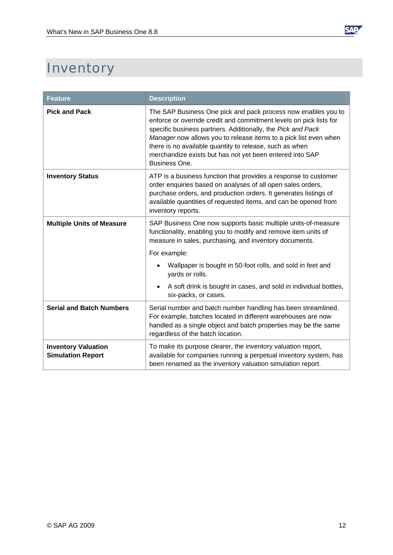

# <span id="page-11-0"></span>**Inventory**

| <b>Feature</b>                                         | <b>Description</b>                                                                                                                                                                                                                                                                                                                                                                                             |
|--------------------------------------------------------|----------------------------------------------------------------------------------------------------------------------------------------------------------------------------------------------------------------------------------------------------------------------------------------------------------------------------------------------------------------------------------------------------------------|
| <b>Pick and Pack</b>                                   | The SAP Business One pick and pack process now enables you to<br>enforce or override credit and commitment levels on pick lists for<br>specific business partners. Additionally, the Pick and Pack<br>Manager now allows you to release items to a pick list even when<br>there is no available quantity to release, such as when<br>merchandize exists but has not yet been entered into SAP<br>Business One. |
| <b>Inventory Status</b>                                | ATP is a business function that provides a response to customer<br>order enquiries based on analyses of all open sales orders,<br>purchase orders, and production orders. It generates listings of<br>available quantities of requested items, and can be opened from<br>inventory reports.                                                                                                                    |
| <b>Multiple Units of Measure</b>                       | SAP Business One now supports basic multiple units-of-measure<br>functionality, enabling you to modify and remove item units of<br>measure in sales, purchasing, and inventory documents.                                                                                                                                                                                                                      |
|                                                        | For example:                                                                                                                                                                                                                                                                                                                                                                                                   |
|                                                        | Wallpaper is bought in 50-foot rolls, and sold in feet and<br>yards or rolls.                                                                                                                                                                                                                                                                                                                                  |
|                                                        | A soft drink is bought in cases, and sold in individual bottles,<br>six-packs, or cases.                                                                                                                                                                                                                                                                                                                       |
| <b>Serial and Batch Numbers</b>                        | Serial number and batch number handling has been streamlined.<br>For example, batches located in different warehouses are now<br>handled as a single object and batch properties may be the same<br>regardless of the batch location.                                                                                                                                                                          |
| <b>Inventory Valuation</b><br><b>Simulation Report</b> | To make its purpose clearer, the inventory valuation report,<br>available for companies running a perpetual inventory system, has<br>been renamed as the inventory valuation simulation report.                                                                                                                                                                                                                |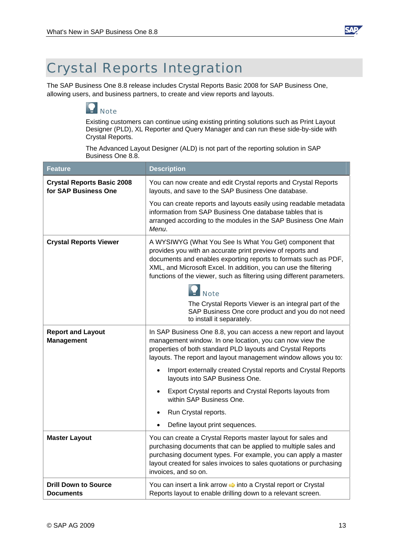

### <span id="page-12-0"></span>Crystal Reports Integration

The SAP Business One 8.8 release includes Crystal Reports Basic 2008 for SAP Business One, allowing users, and business partners, to create and view reports and layouts.

#### **Note**

Existing customers can continue using existing printing solutions such as Print Layout Designer (PLD), XL Reporter and Query Manager and can run these side-by-side with Crystal Reports.

The Advanced Layout Designer (ALD) is not part of the reporting solution in SAP Business One 8.8.

| <b>Feature</b>                                            | <b>Description</b>                                                                                                                                                                                                                                                                                                                                                                                                                                                                                                                                       |
|-----------------------------------------------------------|----------------------------------------------------------------------------------------------------------------------------------------------------------------------------------------------------------------------------------------------------------------------------------------------------------------------------------------------------------------------------------------------------------------------------------------------------------------------------------------------------------------------------------------------------------|
| <b>Crystal Reports Basic 2008</b><br>for SAP Business One | You can now create and edit Crystal reports and Crystal Reports<br>layouts, and save to the SAP Business One database.                                                                                                                                                                                                                                                                                                                                                                                                                                   |
|                                                           | You can create reports and layouts easily using readable metadata<br>information from SAP Business One database tables that is<br>arranged according to the modules in the SAP Business One Main<br>Menu.                                                                                                                                                                                                                                                                                                                                                |
| <b>Crystal Reports Viewer</b>                             | A WYSIWYG (What You See Is What You Get) component that<br>provides you with an accurate print preview of reports and<br>documents and enables exporting reports to formats such as PDF,<br>XML, and Microsoft Excel. In addition, you can use the filtering<br>functions of the viewer, such as filtering using different parameters.<br><b>Note</b><br>The Crystal Reports Viewer is an integral part of the<br>SAP Business One core product and you do not need<br>to install it separately.                                                         |
| <b>Report and Layout</b><br><b>Management</b>             | In SAP Business One 8.8, you can access a new report and layout<br>management window. In one location, you can now view the<br>properties of both standard PLD layouts and Crystal Reports<br>layouts. The report and layout management window allows you to:<br>Import externally created Crystal reports and Crystal Reports<br>$\bullet$<br>layouts into SAP Business One.<br>Export Crystal reports and Crystal Reports layouts from<br>within SAP Business One.<br>Run Crystal reports.<br>$\bullet$<br>Define layout print sequences.<br>$\bullet$ |
| <b>Master Layout</b>                                      | You can create a Crystal Reports master layout for sales and<br>purchasing documents that can be applied to multiple sales and<br>purchasing document types. For example, you can apply a master<br>layout created for sales invoices to sales quotations or purchasing<br>invoices, and so on.                                                                                                                                                                                                                                                          |
| <b>Drill Down to Source</b><br><b>Documents</b>           | You can insert a link arrow $\Rightarrow$ into a Crystal report or Crystal<br>Reports layout to enable drilling down to a relevant screen.                                                                                                                                                                                                                                                                                                                                                                                                               |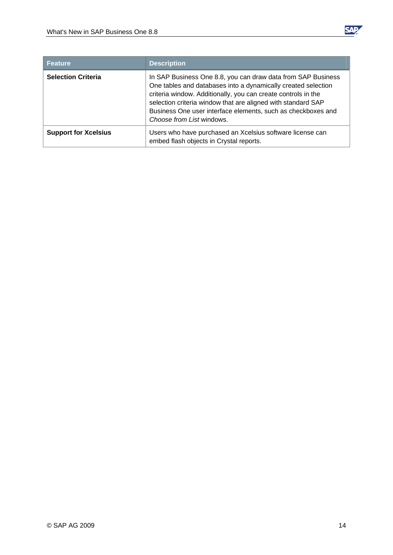

| <b>Feature</b>              | <b>Description</b>                                                                                                                                                                                                                                                                                                                                          |
|-----------------------------|-------------------------------------------------------------------------------------------------------------------------------------------------------------------------------------------------------------------------------------------------------------------------------------------------------------------------------------------------------------|
| <b>Selection Criteria</b>   | In SAP Business One 8.8, you can draw data from SAP Business<br>One tables and databases into a dynamically created selection<br>criteria window. Additionally, you can create controls in the<br>selection criteria window that are aligned with standard SAP<br>Business One user interface elements, such as checkboxes and<br>Choose from List windows. |
| <b>Support for Xcelsius</b> | Users who have purchased an Xcelsius software license can<br>embed flash objects in Crystal reports.                                                                                                                                                                                                                                                        |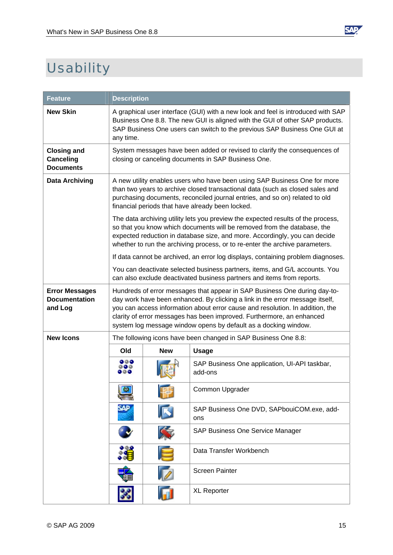

# <span id="page-14-0"></span>**Usability**

| <b>Feature</b>                                             | <b>Description</b>                                                                                                                                                                                                                                                                                                                                                                     |            |                                                                                                                                                       |
|------------------------------------------------------------|----------------------------------------------------------------------------------------------------------------------------------------------------------------------------------------------------------------------------------------------------------------------------------------------------------------------------------------------------------------------------------------|------------|-------------------------------------------------------------------------------------------------------------------------------------------------------|
| <b>New Skin</b>                                            | A graphical user interface (GUI) with a new look and feel is introduced with SAP<br>Business One 8.8. The new GUI is aligned with the GUI of other SAP products.<br>SAP Business One users can switch to the previous SAP Business One GUI at<br>any time.                                                                                                                             |            |                                                                                                                                                       |
| <b>Closing and</b><br><b>Canceling</b><br><b>Documents</b> | System messages have been added or revised to clarify the consequences of<br>closing or canceling documents in SAP Business One.                                                                                                                                                                                                                                                       |            |                                                                                                                                                       |
| <b>Data Archiving</b>                                      | A new utility enables users who have been using SAP Business One for more<br>than two years to archive closed transactional data (such as closed sales and<br>purchasing documents, reconciled journal entries, and so on) related to old<br>financial periods that have already been locked.                                                                                          |            |                                                                                                                                                       |
|                                                            | The data archiving utility lets you preview the expected results of the process,<br>so that you know which documents will be removed from the database, the<br>expected reduction in database size, and more. Accordingly, you can decide<br>whether to run the archiving process, or to re-enter the archive parameters.                                                              |            |                                                                                                                                                       |
|                                                            |                                                                                                                                                                                                                                                                                                                                                                                        |            | If data cannot be archived, an error log displays, containing problem diagnoses.                                                                      |
|                                                            |                                                                                                                                                                                                                                                                                                                                                                                        |            | You can deactivate selected business partners, items, and G/L accounts. You<br>can also exclude deactivated business partners and items from reports. |
| <b>Error Messages</b><br><b>Documentation</b><br>and Log   | Hundreds of error messages that appear in SAP Business One during day-to-<br>day work have been enhanced. By clicking a link in the error message itself,<br>you can access information about error cause and resolution. In addition, the<br>clarity of error messages has been improved. Furthermore, an enhanced<br>system log message window opens by default as a docking window. |            |                                                                                                                                                       |
| <b>New Icons</b>                                           | The following icons have been changed in SAP Business One 8.8:                                                                                                                                                                                                                                                                                                                         |            |                                                                                                                                                       |
|                                                            | Old                                                                                                                                                                                                                                                                                                                                                                                    | <b>New</b> | <b>Usage</b>                                                                                                                                          |
|                                                            |                                                                                                                                                                                                                                                                                                                                                                                        |            | SAP Business One application, UI-API taskbar,<br>add-ons                                                                                              |
|                                                            | <b>County</b>                                                                                                                                                                                                                                                                                                                                                                          |            | Common Upgrader                                                                                                                                       |
|                                                            | sap                                                                                                                                                                                                                                                                                                                                                                                    |            | SAP Business One DVD, SAPbouiCOM.exe, add-<br>ons                                                                                                     |
|                                                            |                                                                                                                                                                                                                                                                                                                                                                                        |            | SAP Business One Service Manager                                                                                                                      |
|                                                            |                                                                                                                                                                                                                                                                                                                                                                                        |            | Data Transfer Workbench                                                                                                                               |
|                                                            |                                                                                                                                                                                                                                                                                                                                                                                        |            | <b>Screen Painter</b>                                                                                                                                 |
|                                                            |                                                                                                                                                                                                                                                                                                                                                                                        |            | <b>XL Reporter</b>                                                                                                                                    |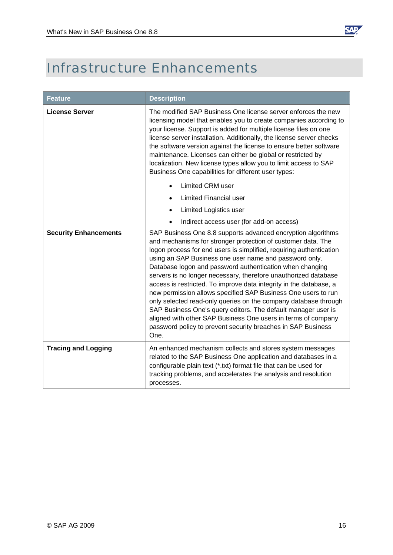

# <span id="page-15-0"></span>Infrastructure Enhancements

| <b>Feature</b>               | <b>Description</b>                                                                                                                                                                                                                                                                                                                                                                                                                                                                                                                                                                                                                                                                                                                                                                                               |  |
|------------------------------|------------------------------------------------------------------------------------------------------------------------------------------------------------------------------------------------------------------------------------------------------------------------------------------------------------------------------------------------------------------------------------------------------------------------------------------------------------------------------------------------------------------------------------------------------------------------------------------------------------------------------------------------------------------------------------------------------------------------------------------------------------------------------------------------------------------|--|
| <b>License Server</b>        | The modified SAP Business One license server enforces the new<br>licensing model that enables you to create companies according to<br>your license. Support is added for multiple license files on one<br>license server installation. Additionally, the license server checks<br>the software version against the license to ensure better software<br>maintenance. Licenses can either be global or restricted by<br>localization. New license types allow you to limit access to SAP<br>Business One capabilities for different user types:                                                                                                                                                                                                                                                                   |  |
|                              | <b>Limited CRM user</b><br><b>Limited Financial user</b>                                                                                                                                                                                                                                                                                                                                                                                                                                                                                                                                                                                                                                                                                                                                                         |  |
|                              | <b>Limited Logistics user</b>                                                                                                                                                                                                                                                                                                                                                                                                                                                                                                                                                                                                                                                                                                                                                                                    |  |
|                              | Indirect access user (for add-on access)                                                                                                                                                                                                                                                                                                                                                                                                                                                                                                                                                                                                                                                                                                                                                                         |  |
| <b>Security Enhancements</b> | SAP Business One 8.8 supports advanced encryption algorithms<br>and mechanisms for stronger protection of customer data. The<br>logon process for end users is simplified, requiring authentication<br>using an SAP Business one user name and password only.<br>Database logon and password authentication when changing<br>servers is no longer necessary, therefore unauthorized database<br>access is restricted. To improve data integrity in the database, a<br>new permission allows specified SAP Business One users to run<br>only selected read-only queries on the company database through<br>SAP Business One's query editors. The default manager user is<br>aligned with other SAP Business One users in terms of company<br>password policy to prevent security breaches in SAP Business<br>One. |  |
| <b>Tracing and Logging</b>   | An enhanced mechanism collects and stores system messages<br>related to the SAP Business One application and databases in a<br>configurable plain text (*.txt) format file that can be used for<br>tracking problems, and accelerates the analysis and resolution<br>processes.                                                                                                                                                                                                                                                                                                                                                                                                                                                                                                                                  |  |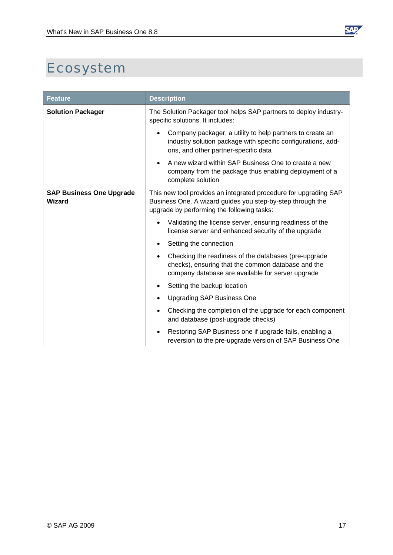

# <span id="page-16-0"></span>Ecosystem

| <b>Feature</b>                            | <b>Description</b>                                                                                                                                                           |
|-------------------------------------------|------------------------------------------------------------------------------------------------------------------------------------------------------------------------------|
| <b>Solution Packager</b>                  | The Solution Packager tool helps SAP partners to deploy industry-<br>specific solutions. It includes:                                                                        |
|                                           | Company packager, a utility to help partners to create an<br>industry solution package with specific configurations, add-<br>ons, and other partner-specific data            |
|                                           | A new wizard within SAP Business One to create a new<br>company from the package thus enabling deployment of a<br>complete solution                                          |
| <b>SAP Business One Upgrade</b><br>Wizard | This new tool provides an integrated procedure for upgrading SAP<br>Business One. A wizard guides you step-by-step through the<br>upgrade by performing the following tasks: |
|                                           | Validating the license server, ensuring readiness of the<br>license server and enhanced security of the upgrade                                                              |
|                                           | Setting the connection                                                                                                                                                       |
|                                           | Checking the readiness of the databases (pre-upgrade<br>٠<br>checks), ensuring that the common database and the<br>company database are available for server upgrade         |
|                                           | Setting the backup location                                                                                                                                                  |
|                                           | <b>Upgrading SAP Business One</b>                                                                                                                                            |
|                                           | Checking the completion of the upgrade for each component<br>and database (post-upgrade checks)                                                                              |
|                                           | Restoring SAP Business one if upgrade fails, enabling a<br>reversion to the pre-upgrade version of SAP Business One                                                          |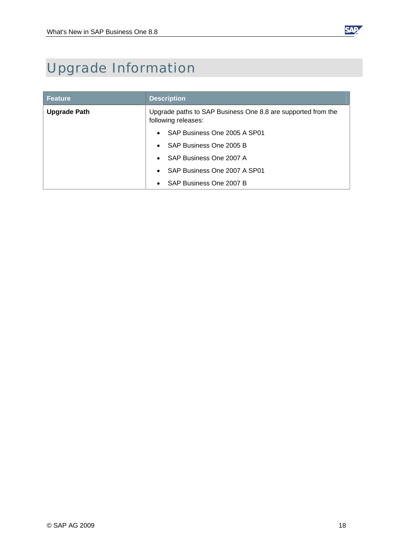

# <span id="page-17-0"></span>Upgrade Information

| <b>Feature</b>      | <b>Description</b>                                                                  |
|---------------------|-------------------------------------------------------------------------------------|
| <b>Upgrade Path</b> | Upgrade paths to SAP Business One 8.8 are supported from the<br>following releases: |
|                     | SAP Business One 2005 A SP01                                                        |
|                     | SAP Business One 2005 B<br>$\bullet$                                                |
|                     | SAP Business One 2007 A                                                             |
|                     | SAP Business One 2007 A SP01                                                        |
|                     | SAP Business One 2007 B                                                             |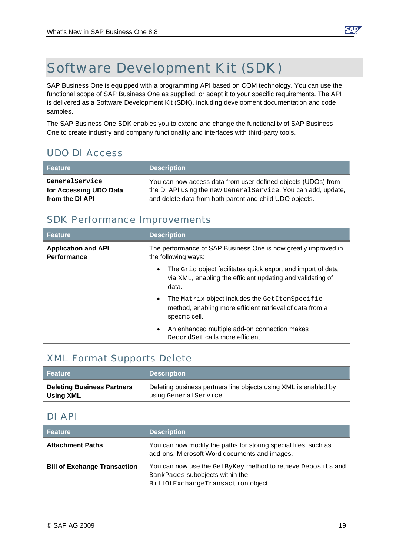

### <span id="page-18-0"></span>Software Development Kit (SDK)

SAP Business One is equipped with a programming API based on COM technology. You can use the functional scope of SAP Business One as supplied, or adapt it to your specific requirements. The API is delivered as a Software Development Kit (SDK), including development documentation and code samples.

The SAP Business One SDK enables you to extend and change the functionality of SAP Business One to create industry and company functionality and interfaces with third-party tools.

#### UDO DI Access

| Feature                                  | <b>Description</b>                                                                                                              |
|------------------------------------------|---------------------------------------------------------------------------------------------------------------------------------|
| GeneralService<br>for Accessing UDO Data | You can now access data from user-defined objects (UDOs) from<br>the DI API using the new General Service. You can add, update, |
| from the DI API                          | and delete data from both parent and child UDO objects.                                                                         |

#### SDK Performance Improvements

| Feature                                          | <b>Description</b>                                                                                                                               |
|--------------------------------------------------|--------------------------------------------------------------------------------------------------------------------------------------------------|
| <b>Application and API</b><br><b>Performance</b> | The performance of SAP Business One is now greatly improved in<br>the following ways:                                                            |
|                                                  | The Grid object facilitates quick export and import of data,<br>$\bullet$<br>via XML, enabling the efficient updating and validating of<br>data. |
|                                                  | The Matrix object includes the GetItemSpecific<br>method, enabling more efficient retrieval of data from a<br>specific cell.                     |
|                                                  | An enhanced multiple add-on connection makes<br>RecordSet calls more efficient.                                                                  |

#### XML Format Supports Delete

| <b>Feature</b>                    | <b>Description</b>                                              |
|-----------------------------------|-----------------------------------------------------------------|
| <b>Deleting Business Partners</b> | Deleting business partners line objects using XML is enabled by |
| Using XML                         | using GeneralService.                                           |

#### DI API

| <b>Feature</b>                      | <b>Description</b>                                                                                                                   |
|-------------------------------------|--------------------------------------------------------------------------------------------------------------------------------------|
| <b>Attachment Paths</b>             | You can now modify the paths for storing special files, such as<br>add-ons, Microsoft Word documents and images.                     |
| <b>Bill of Exchange Transaction</b> | You can now use the GetByKey method to retrieve Deposits and<br>BankPages subobjects within the<br>BillOfExchangeTransaction object. |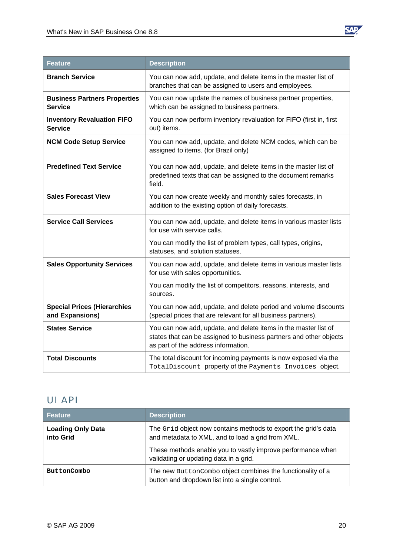

<span id="page-19-0"></span>

| <b>Feature</b>                                        | <b>Description</b>                                                                                                                                                           |
|-------------------------------------------------------|------------------------------------------------------------------------------------------------------------------------------------------------------------------------------|
| <b>Branch Service</b>                                 | You can now add, update, and delete items in the master list of<br>branches that can be assigned to users and employees.                                                     |
| <b>Business Partners Properties</b><br><b>Service</b> | You can now update the names of business partner properties,<br>which can be assigned to business partners.                                                                  |
| <b>Inventory Revaluation FIFO</b><br><b>Service</b>   | You can now perform inventory revaluation for FIFO (first in, first<br>out) items.                                                                                           |
| <b>NCM Code Setup Service</b>                         | You can now add, update, and delete NCM codes, which can be<br>assigned to items. (for Brazil only)                                                                          |
| <b>Predefined Text Service</b>                        | You can now add, update, and delete items in the master list of<br>predefined texts that can be assigned to the document remarks<br>field.                                   |
| <b>Sales Forecast View</b>                            | You can now create weekly and monthly sales forecasts, in<br>addition to the existing option of daily forecasts.                                                             |
| <b>Service Call Services</b>                          | You can now add, update, and delete items in various master lists<br>for use with service calls.                                                                             |
|                                                       | You can modify the list of problem types, call types, origins,<br>statuses, and solution statuses.                                                                           |
| <b>Sales Opportunity Services</b>                     | You can now add, update, and delete items in various master lists<br>for use with sales opportunities.                                                                       |
|                                                       | You can modify the list of competitors, reasons, interests, and<br>sources.                                                                                                  |
| <b>Special Prices (Hierarchies</b><br>and Expansions) | You can now add, update, and delete period and volume discounts<br>(special prices that are relevant for all business partners).                                             |
| <b>States Service</b>                                 | You can now add, update, and delete items in the master list of<br>states that can be assigned to business partners and other objects<br>as part of the address information. |
| <b>Total Discounts</b>                                | The total discount for incoming payments is now exposed via the<br>TotalDiscount property of the Payments_Invoices object.                                                   |

#### UI API

| Feature                               | <b>Description</b>                                                                                                  |
|---------------------------------------|---------------------------------------------------------------------------------------------------------------------|
| <b>Loading Only Data</b><br>into Grid | The Grid object now contains methods to export the grid's data<br>and metadata to XML, and to load a grid from XML. |
|                                       | These methods enable you to vastly improve performance when<br>validating or updating data in a grid.               |
| ButtonCombo                           | The new ButtonCombo object combines the functionality of a<br>button and dropdown list into a single control.       |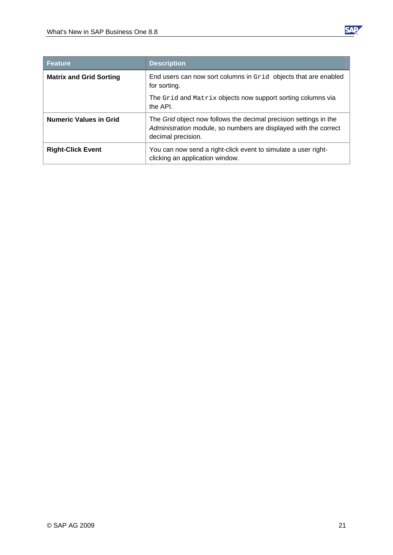

| <b>Feature</b>                 | <b>Description</b>                                                                                                                                          |
|--------------------------------|-------------------------------------------------------------------------------------------------------------------------------------------------------------|
| <b>Matrix and Grid Sorting</b> | End users can now sort columns in Grid objects that are enabled<br>for sorting.                                                                             |
|                                | The Grid and Matrix objects now support sorting columns via<br>the API.                                                                                     |
| <b>Numeric Values in Grid</b>  | The Grid object now follows the decimal precision settings in the<br>Administration module, so numbers are displayed with the correct<br>decimal precision. |
| <b>Right-Click Event</b>       | You can now send a right-click event to simulate a user right-<br>clicking an application window.                                                           |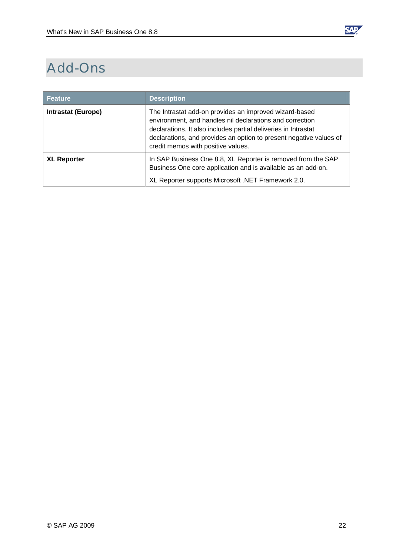

# <span id="page-21-0"></span>Add-Ons

| <b>Feature</b>            | <b>Description</b>                                                                                                                                                                                                                                                                               |
|---------------------------|--------------------------------------------------------------------------------------------------------------------------------------------------------------------------------------------------------------------------------------------------------------------------------------------------|
| <b>Intrastat (Europe)</b> | The Intrastat add-on provides an improved wizard-based<br>environment, and handles nil declarations and correction<br>declarations. It also includes partial deliveries in Intrastat<br>declarations, and provides an option to present negative values of<br>credit memos with positive values. |
| <b>XL Reporter</b>        | In SAP Business One 8.8, XL Reporter is removed from the SAP<br>Business One core application and is available as an add-on.<br>XL Reporter supports Microsoft .NET Framework 2.0.                                                                                                               |